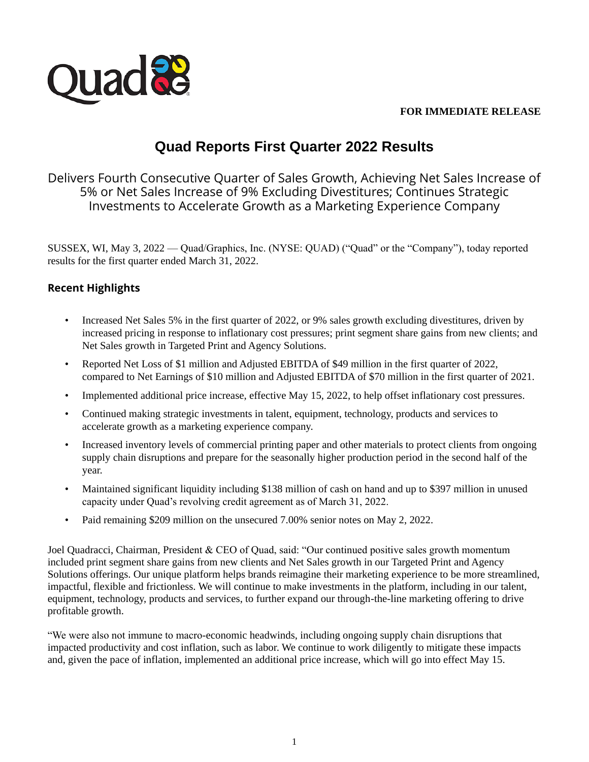

### **FOR IMMEDIATE RELEASE**

# **Quad Reports First Quarter 2022 Results**

Delivers Fourth Consecutive Quarter of Sales Growth, Achieving Net Sales Increase of 5% or Net Sales Increase of 9% Excluding Divestitures; Continues Strategic Investments to Accelerate Growth as a Marketing Experience Company

SUSSEX, WI, May 3, 2022 — Quad/Graphics, Inc. (NYSE: QUAD) ("Quad" or the "Company"), today reported results for the first quarter ended March 31, 2022.

# **Recent Highlights**

- Increased Net Sales 5% in the first quarter of 2022, or 9% sales growth excluding divestitures, driven by increased pricing in response to inflationary cost pressures; print segment share gains from new clients; and Net Sales growth in Targeted Print and Agency Solutions.
- Reported Net Loss of \$1 million and Adjusted EBITDA of \$49 million in the first quarter of 2022, compared to Net Earnings of \$10 million and Adjusted EBITDA of \$70 million in the first quarter of 2021.
- Implemented additional price increase, effective May 15, 2022, to help offset inflationary cost pressures.
- Continued making strategic investments in talent, equipment, technology, products and services to accelerate growth as a marketing experience company.
- Increased inventory levels of commercial printing paper and other materials to protect clients from ongoing supply chain disruptions and prepare for the seasonally higher production period in the second half of the year.
- Maintained significant liquidity including \$138 million of cash on hand and up to \$397 million in unused capacity under Quad's revolving credit agreement as of March 31, 2022.
- Paid remaining \$209 million on the unsecured 7.00% senior notes on May 2, 2022.

Joel Quadracci, Chairman, President & CEO of Quad, said: "Our continued positive sales growth momentum included print segment share gains from new clients and Net Sales growth in our Targeted Print and Agency Solutions offerings. Our unique platform helps brands reimagine their marketing experience to be more streamlined, impactful, flexible and frictionless. We will continue to make investments in the platform, including in our talent, equipment, technology, products and services, to further expand our through-the-line marketing offering to drive profitable growth.

"We were also not immune to macro-economic headwinds, including ongoing supply chain disruptions that impacted productivity and cost inflation, such as labor. We continue to work diligently to mitigate these impacts and, given the pace of inflation, implemented an additional price increase, which will go into effect May 15.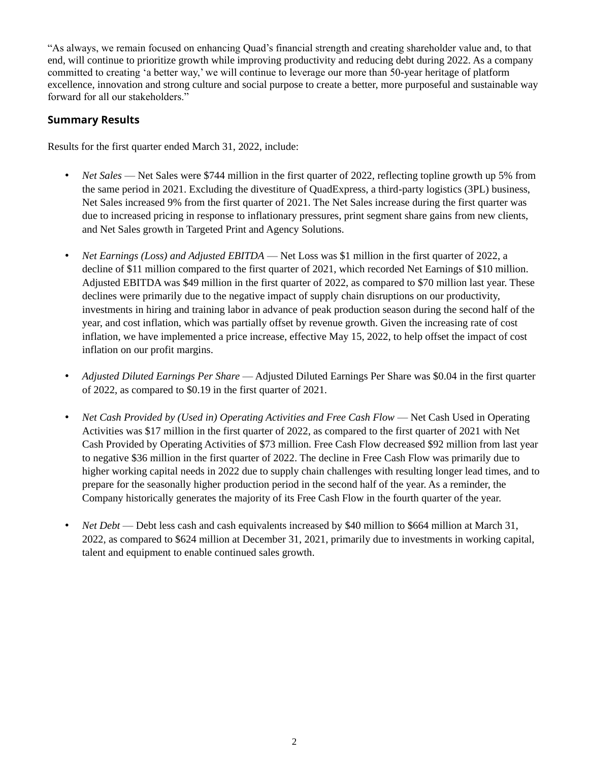"As always, we remain focused on enhancing Quad's financial strength and creating shareholder value and, to that end, will continue to prioritize growth while improving productivity and reducing debt during 2022. As a company committed to creating 'a better way,' we will continue to leverage our more than 50-year heritage of platform excellence, innovation and strong culture and social purpose to create a better, more purposeful and sustainable way forward for all our stakeholders."

### **Summary Results**

Results for the first quarter ended March 31, 2022, include:

- *Net Sales* Net Sales were \$744 million in the first quarter of 2022, reflecting topline growth up 5% from the same period in 2021. Excluding the divestiture of QuadExpress, a third-party logistics (3PL) business, Net Sales increased 9% from the first quarter of 2021. The Net Sales increase during the first quarter was due to increased pricing in response to inflationary pressures, print segment share gains from new clients, and Net Sales growth in Targeted Print and Agency Solutions.
- *Net Earnings (Loss) and Adjusted EBITDA* Net Loss was \$1 million in the first quarter of 2022, a decline of \$11 million compared to the first quarter of 2021, which recorded Net Earnings of \$10 million. Adjusted EBITDA was \$49 million in the first quarter of 2022, as compared to \$70 million last year. These declines were primarily due to the negative impact of supply chain disruptions on our productivity, investments in hiring and training labor in advance of peak production season during the second half of the year, and cost inflation, which was partially offset by revenue growth. Given the increasing rate of cost inflation, we have implemented a price increase, effective May 15, 2022, to help offset the impact of cost inflation on our profit margins.
- *Adjusted Diluted Earnings Per Share* Adjusted Diluted Earnings Per Share was \$0.04 in the first quarter of 2022, as compared to \$0.19 in the first quarter of 2021.
- *Net Cash Provided by (Used in) Operating Activities and Free Cash Flow* Net Cash Used in Operating Activities was \$17 million in the first quarter of 2022, as compared to the first quarter of 2021 with Net Cash Provided by Operating Activities of \$73 million. Free Cash Flow decreased \$92 million from last year to negative \$36 million in the first quarter of 2022. The decline in Free Cash Flow was primarily due to higher working capital needs in 2022 due to supply chain challenges with resulting longer lead times, and to prepare for the seasonally higher production period in the second half of the year. As a reminder, the Company historically generates the majority of its Free Cash Flow in the fourth quarter of the year.
- *Net Debt* Debt less cash and cash equivalents increased by \$40 million to \$664 million at March 31, 2022, as compared to \$624 million at December 31, 2021, primarily due to investments in working capital, talent and equipment to enable continued sales growth.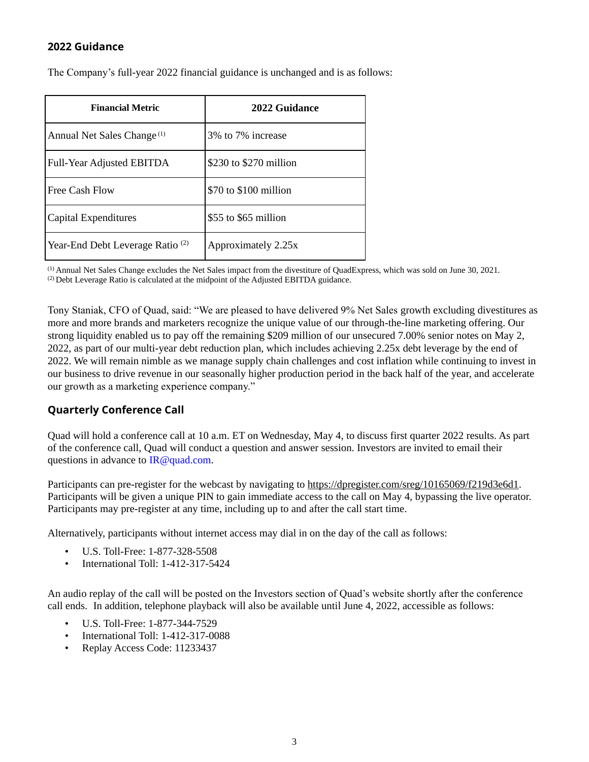### **2022 Guidance**

The Company's full-year 2022 financial guidance is unchanged and is as follows:

| <b>Financial Metric</b>                     | 2022 Guidance          |
|---------------------------------------------|------------------------|
| Annual Net Sales Change <sup>(1)</sup>      | 3\% to 7\% increase    |
| Full-Year Adjusted EBITDA                   | \$230 to \$270 million |
| Free Cash Flow                              | \$70 to \$100 million  |
| Capital Expenditures                        | \$55 to \$65 million   |
| Year-End Debt Leverage Ratio <sup>(2)</sup> | Approximately 2.25x    |

(1) Annual Net Sales Change excludes the Net Sales impact from the divestiture of QuadExpress, which was sold on June 30, 2021.

(2) Debt Leverage Ratio is calculated at the midpoint of the Adjusted EBITDA guidance.

Tony Staniak, CFO of Quad, said: "We are pleased to have delivered 9% Net Sales growth excluding divestitures as more and more brands and marketers recognize the unique value of our through-the-line marketing offering. Our strong liquidity enabled us to pay off the remaining \$209 million of our unsecured 7.00% senior notes on May 2, 2022, as part of our multi-year debt reduction plan, which includes achieving 2.25x debt leverage by the end of 2022. We will remain nimble as we manage supply chain challenges and cost inflation while continuing to invest in our business to drive revenue in our seasonally higher production period in the back half of the year, and accelerate our growth as a marketing experience company."

# **Quarterly Conference Call**

Quad will hold a conference call at 10 a.m. ET on Wednesday, May 4, to discuss first quarter 2022 results. As part of the conference call, Quad will conduct a question and answer session. Investors are invited to email their questions in advance to IR@quad.com.

Participants can pre-register for the webcast by navigating to https://dpregister.com/sreg/10165069/f219d3e6d1. Participants will be given a unique PIN to gain immediate access to the call on May 4, bypassing the live operator. Participants may pre-register at any time, including up to and after the call start time.

Alternatively, participants without internet access may dial in on the day of the call as follows:

- U.S. Toll-Free: 1-877-328-5508
- International Toll: 1-412-317-5424

An audio replay of the call will be posted on the Investors section of Quad's website shortly after the conference call ends. In addition, telephone playback will also be available until June 4, 2022, accessible as follows:

- U.S. Toll-Free: 1-877-344-7529
- International Toll: 1-412-317-0088
- Replay Access Code: 11233437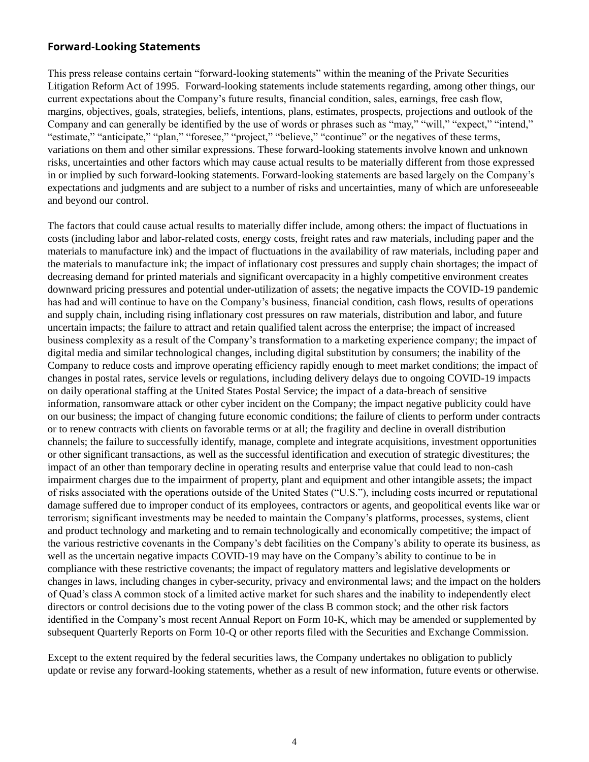### **Forward-Looking Statements**

This press release contains certain "forward-looking statements" within the meaning of the Private Securities Litigation Reform Act of 1995. Forward-looking statements include statements regarding, among other things, our current expectations about the Company's future results, financial condition, sales, earnings, free cash flow, margins, objectives, goals, strategies, beliefs, intentions, plans, estimates, prospects, projections and outlook of the Company and can generally be identified by the use of words or phrases such as "may," "will," "expect," "intend," "estimate," "anticipate," "plan," "foresee," "project," "believe," "continue" or the negatives of these terms, variations on them and other similar expressions. These forward-looking statements involve known and unknown risks, uncertainties and other factors which may cause actual results to be materially different from those expressed in or implied by such forward-looking statements. Forward-looking statements are based largely on the Company's expectations and judgments and are subject to a number of risks and uncertainties, many of which are unforeseeable and beyond our control.

The factors that could cause actual results to materially differ include, among others: the impact of fluctuations in costs (including labor and labor-related costs, energy costs, freight rates and raw materials, including paper and the materials to manufacture ink) and the impact of fluctuations in the availability of raw materials, including paper and the materials to manufacture ink; the impact of inflationary cost pressures and supply chain shortages; the impact of decreasing demand for printed materials and significant overcapacity in a highly competitive environment creates downward pricing pressures and potential under-utilization of assets; the negative impacts the COVID-19 pandemic has had and will continue to have on the Company's business, financial condition, cash flows, results of operations and supply chain, including rising inflationary cost pressures on raw materials, distribution and labor, and future uncertain impacts; the failure to attract and retain qualified talent across the enterprise; the impact of increased business complexity as a result of the Company's transformation to a marketing experience company; the impact of digital media and similar technological changes, including digital substitution by consumers; the inability of the Company to reduce costs and improve operating efficiency rapidly enough to meet market conditions; the impact of changes in postal rates, service levels or regulations, including delivery delays due to ongoing COVID-19 impacts on daily operational staffing at the United States Postal Service; the impact of a data-breach of sensitive information, ransomware attack or other cyber incident on the Company; the impact negative publicity could have on our business; the impact of changing future economic conditions; the failure of clients to perform under contracts or to renew contracts with clients on favorable terms or at all; the fragility and decline in overall distribution channels; the failure to successfully identify, manage, complete and integrate acquisitions, investment opportunities or other significant transactions, as well as the successful identification and execution of strategic divestitures; the impact of an other than temporary decline in operating results and enterprise value that could lead to non-cash impairment charges due to the impairment of property, plant and equipment and other intangible assets; the impact of risks associated with the operations outside of the United States ("U.S."), including costs incurred or reputational damage suffered due to improper conduct of its employees, contractors or agents, and geopolitical events like war or terrorism; significant investments may be needed to maintain the Company's platforms, processes, systems, client and product technology and marketing and to remain technologically and economically competitive; the impact of the various restrictive covenants in the Company's debt facilities on the Company's ability to operate its business, as well as the uncertain negative impacts COVID-19 may have on the Company's ability to continue to be in compliance with these restrictive covenants; the impact of regulatory matters and legislative developments or changes in laws, including changes in cyber-security, privacy and environmental laws; and the impact on the holders of Quad's class A common stock of a limited active market for such shares and the inability to independently elect directors or control decisions due to the voting power of the class B common stock; and the other risk factors identified in the Company's most recent Annual Report on Form 10-K, which may be amended or supplemented by subsequent Quarterly Reports on Form 10-Q or other reports filed with the Securities and Exchange Commission.

Except to the extent required by the federal securities laws, the Company undertakes no obligation to publicly update or revise any forward-looking statements, whether as a result of new information, future events or otherwise.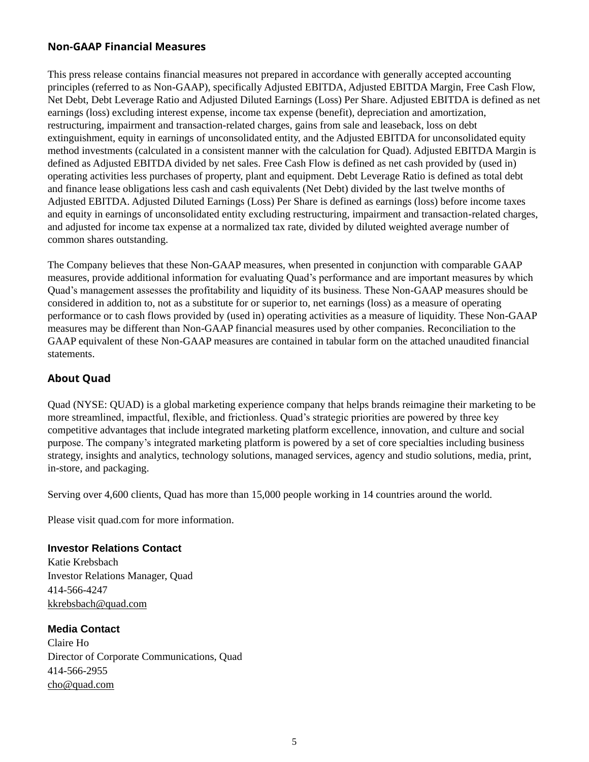### **Non-GAAP Financial Measures**

This press release contains financial measures not prepared in accordance with generally accepted accounting principles (referred to as Non-GAAP), specifically Adjusted EBITDA, Adjusted EBITDA Margin, Free Cash Flow, Net Debt, Debt Leverage Ratio and Adjusted Diluted Earnings (Loss) Per Share. Adjusted EBITDA is defined as net earnings (loss) excluding interest expense, income tax expense (benefit), depreciation and amortization, restructuring, impairment and transaction-related charges, gains from sale and leaseback, loss on debt extinguishment, equity in earnings of unconsolidated entity, and the Adjusted EBITDA for unconsolidated equity method investments (calculated in a consistent manner with the calculation for Quad). Adjusted EBITDA Margin is defined as Adjusted EBITDA divided by net sales. Free Cash Flow is defined as net cash provided by (used in) operating activities less purchases of property, plant and equipment. Debt Leverage Ratio is defined as total debt and finance lease obligations less cash and cash equivalents (Net Debt) divided by the last twelve months of Adjusted EBITDA. Adjusted Diluted Earnings (Loss) Per Share is defined as earnings (loss) before income taxes and equity in earnings of unconsolidated entity excluding restructuring, impairment and transaction-related charges, and adjusted for income tax expense at a normalized tax rate, divided by diluted weighted average number of common shares outstanding.

The Company believes that these Non-GAAP measures, when presented in conjunction with comparable GAAP measures, provide additional information for evaluating Quad's performance and are important measures by which Quad's management assesses the profitability and liquidity of its business. These Non-GAAP measures should be considered in addition to, not as a substitute for or superior to, net earnings (loss) as a measure of operating performance or to cash flows provided by (used in) operating activities as a measure of liquidity. These Non-GAAP measures may be different than Non-GAAP financial measures used by other companies. Reconciliation to the GAAP equivalent of these Non-GAAP measures are contained in tabular form on the attached unaudited financial statements.

### **About Quad**

Quad (NYSE: QUAD) is a global marketing experience company that helps brands reimagine their marketing to be more streamlined, impactful, flexible, and frictionless. Quad's strategic priorities are powered by three key competitive advantages that include integrated marketing platform excellence, innovation, and culture and social purpose. The company's integrated marketing platform is powered by a set of core specialties including business strategy, insights and analytics, technology solutions, managed services, agency and studio solutions, media, print, in-store, and packaging.

Serving over 4,600 clients, Quad has more than 15,000 people working in 14 countries around the world.

Please visit quad.com for more information.

### **Investor Relations Contact**

Katie Krebsbach Investor Relations Manager, Quad 414-566-4247 kkrebsbach@quad.com

### **Media Contact**

Claire Ho Director of Corporate Communications, Quad 414-566-2955 cho@quad.com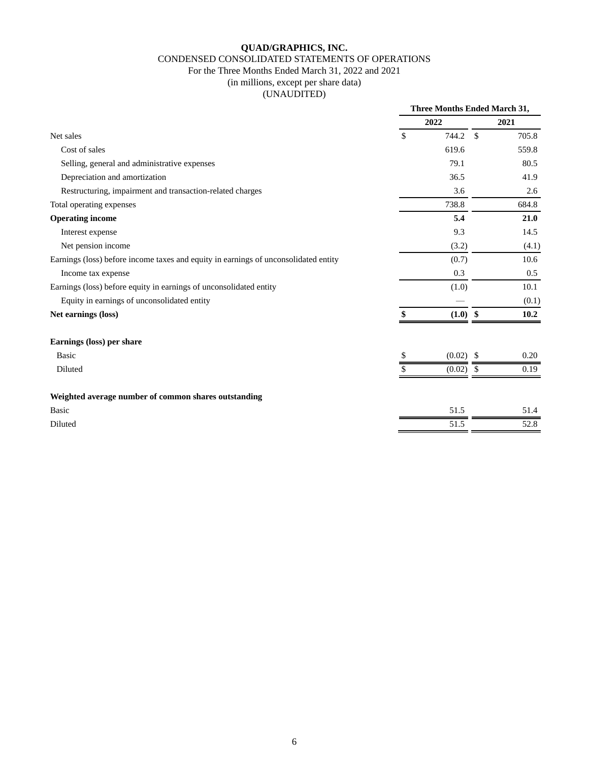#### CONDENSED CONSOLIDATED STATEMENTS OF OPERATIONS

# For the Three Months Ended March 31, 2022 and 2021

(in millions, except per share data)

(UNAUDITED)

|                                                                                     | <b>Three Months Ended March 31,</b> |            |               |       |
|-------------------------------------------------------------------------------------|-------------------------------------|------------|---------------|-------|
|                                                                                     |                                     | 2022       |               | 2021  |
| Net sales                                                                           | $\mathsf{\$}$                       | 744.2      | $\mathbb{S}$  | 705.8 |
| Cost of sales                                                                       |                                     | 619.6      |               | 559.8 |
| Selling, general and administrative expenses                                        |                                     | 79.1       |               | 80.5  |
| Depreciation and amortization                                                       |                                     | 36.5       |               | 41.9  |
| Restructuring, impairment and transaction-related charges                           |                                     | 3.6        |               | 2.6   |
| Total operating expenses                                                            |                                     | 738.8      |               | 684.8 |
| <b>Operating income</b>                                                             |                                     | 5.4        |               | 21.0  |
| Interest expense                                                                    |                                     | 9.3        |               | 14.5  |
| Net pension income                                                                  |                                     | (3.2)      |               | (4.1) |
| Earnings (loss) before income taxes and equity in earnings of unconsolidated entity |                                     | (0.7)      |               | 10.6  |
| Income tax expense                                                                  |                                     | 0.3        |               | 0.5   |
| Earnings (loss) before equity in earnings of unconsolidated entity                  |                                     | (1.0)      |               | 10.1  |
| Equity in earnings of unconsolidated entity                                         |                                     |            |               | (0.1) |
| Net earnings (loss)                                                                 |                                     | $(1.0)$ \$ |               | 10.2  |
| Earnings (loss) per share                                                           |                                     |            |               |       |
| <b>Basic</b>                                                                        | \$                                  | (0.02)     | <sup>\$</sup> | 0.20  |
| Diluted                                                                             |                                     | (0.02)     | \$            | 0.19  |
| Weighted average number of common shares outstanding                                |                                     |            |               |       |
| <b>Basic</b>                                                                        |                                     | 51.5       |               | 51.4  |
| Diluted                                                                             |                                     | 51.5       |               | 52.8  |
|                                                                                     |                                     |            |               |       |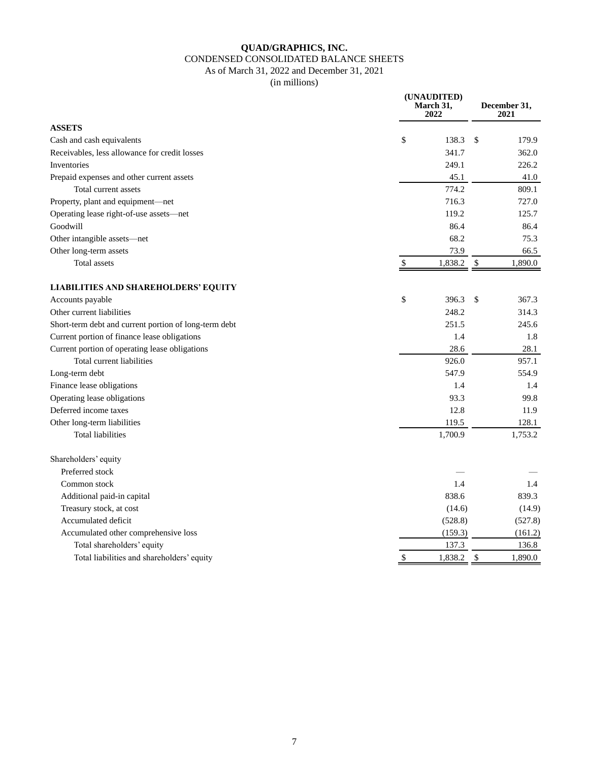#### CONDENSED CONSOLIDATED BALANCE SHEETS

As of March 31, 2022 and December 31, 2021

(in millions)

**(UNAUDITED)**

| <b>ASSETS</b><br>\$<br>138.3<br>179.9<br>Cash and cash equivalents<br>\$<br>Receivables, less allowance for credit losses<br>341.7<br>362.0<br>Inventories<br>249.1<br>226.2<br>45.1<br>Prepaid expenses and other current assets<br>41.0<br>774.2<br>Total current assets<br>809.1<br>Property, plant and equipment-net<br>716.3<br>727.0<br>Operating lease right-of-use assets-net<br>119.2<br>125.7<br>Goodwill<br>86.4<br>86.4<br>68.2<br>75.3<br>Other intangible assets-net<br>73.9<br>Other long-term assets<br>66.5<br>1,890.0<br>Total assets<br>$\mathbb S$<br>1,838.2<br>\$<br>LIABILITIES AND SHAREHOLDERS' EQUITY<br>\$<br>Accounts payable<br>396.3<br>\$<br>367.3<br>Other current liabilities<br>248.2<br>314.3<br>251.5<br>Short-term debt and current portion of long-term debt<br>245.6<br>Current portion of finance lease obligations<br>1.4<br>1.8<br>Current portion of operating lease obligations<br>28.6<br>28.1<br>926.0<br>Total current liabilities<br>957.1<br>547.9<br>Long-term debt<br>554.9<br>Finance lease obligations<br>1.4<br>1.4<br>Operating lease obligations<br>93.3<br>99.8<br>Deferred income taxes<br>12.8<br>11.9<br>Other long-term liabilities<br>119.5<br>128.1<br>1,700.9<br>1,753.2<br>Total liabilities<br>Shareholders' equity<br>Preferred stock<br>Common stock<br>1.4<br>1.4<br>838.6<br>Additional paid-in capital<br>839.3<br>Treasury stock, at cost<br>(14.6)<br>(14.9)<br>Accumulated deficit<br>(528.8)<br>(527.8)<br>Accumulated other comprehensive loss<br>(159.3)<br>(161.2)<br>Total shareholders' equity<br>137.3<br>136.8<br>$\$\,$<br>Total liabilities and shareholders' equity<br>\$<br>1,838.2<br>1,890.0 | March 31,<br>2022 |  | December 31,<br>2021 |
|--------------------------------------------------------------------------------------------------------------------------------------------------------------------------------------------------------------------------------------------------------------------------------------------------------------------------------------------------------------------------------------------------------------------------------------------------------------------------------------------------------------------------------------------------------------------------------------------------------------------------------------------------------------------------------------------------------------------------------------------------------------------------------------------------------------------------------------------------------------------------------------------------------------------------------------------------------------------------------------------------------------------------------------------------------------------------------------------------------------------------------------------------------------------------------------------------------------------------------------------------------------------------------------------------------------------------------------------------------------------------------------------------------------------------------------------------------------------------------------------------------------------------------------------------------------------------------------------------------------------------------------------------------------------------------------|-------------------|--|----------------------|
|                                                                                                                                                                                                                                                                                                                                                                                                                                                                                                                                                                                                                                                                                                                                                                                                                                                                                                                                                                                                                                                                                                                                                                                                                                                                                                                                                                                                                                                                                                                                                                                                                                                                                      |                   |  |                      |
|                                                                                                                                                                                                                                                                                                                                                                                                                                                                                                                                                                                                                                                                                                                                                                                                                                                                                                                                                                                                                                                                                                                                                                                                                                                                                                                                                                                                                                                                                                                                                                                                                                                                                      |                   |  |                      |
|                                                                                                                                                                                                                                                                                                                                                                                                                                                                                                                                                                                                                                                                                                                                                                                                                                                                                                                                                                                                                                                                                                                                                                                                                                                                                                                                                                                                                                                                                                                                                                                                                                                                                      |                   |  |                      |
|                                                                                                                                                                                                                                                                                                                                                                                                                                                                                                                                                                                                                                                                                                                                                                                                                                                                                                                                                                                                                                                                                                                                                                                                                                                                                                                                                                                                                                                                                                                                                                                                                                                                                      |                   |  |                      |
|                                                                                                                                                                                                                                                                                                                                                                                                                                                                                                                                                                                                                                                                                                                                                                                                                                                                                                                                                                                                                                                                                                                                                                                                                                                                                                                                                                                                                                                                                                                                                                                                                                                                                      |                   |  |                      |
|                                                                                                                                                                                                                                                                                                                                                                                                                                                                                                                                                                                                                                                                                                                                                                                                                                                                                                                                                                                                                                                                                                                                                                                                                                                                                                                                                                                                                                                                                                                                                                                                                                                                                      |                   |  |                      |
|                                                                                                                                                                                                                                                                                                                                                                                                                                                                                                                                                                                                                                                                                                                                                                                                                                                                                                                                                                                                                                                                                                                                                                                                                                                                                                                                                                                                                                                                                                                                                                                                                                                                                      |                   |  |                      |
|                                                                                                                                                                                                                                                                                                                                                                                                                                                                                                                                                                                                                                                                                                                                                                                                                                                                                                                                                                                                                                                                                                                                                                                                                                                                                                                                                                                                                                                                                                                                                                                                                                                                                      |                   |  |                      |
|                                                                                                                                                                                                                                                                                                                                                                                                                                                                                                                                                                                                                                                                                                                                                                                                                                                                                                                                                                                                                                                                                                                                                                                                                                                                                                                                                                                                                                                                                                                                                                                                                                                                                      |                   |  |                      |
|                                                                                                                                                                                                                                                                                                                                                                                                                                                                                                                                                                                                                                                                                                                                                                                                                                                                                                                                                                                                                                                                                                                                                                                                                                                                                                                                                                                                                                                                                                                                                                                                                                                                                      |                   |  |                      |
|                                                                                                                                                                                                                                                                                                                                                                                                                                                                                                                                                                                                                                                                                                                                                                                                                                                                                                                                                                                                                                                                                                                                                                                                                                                                                                                                                                                                                                                                                                                                                                                                                                                                                      |                   |  |                      |
|                                                                                                                                                                                                                                                                                                                                                                                                                                                                                                                                                                                                                                                                                                                                                                                                                                                                                                                                                                                                                                                                                                                                                                                                                                                                                                                                                                                                                                                                                                                                                                                                                                                                                      |                   |  |                      |
|                                                                                                                                                                                                                                                                                                                                                                                                                                                                                                                                                                                                                                                                                                                                                                                                                                                                                                                                                                                                                                                                                                                                                                                                                                                                                                                                                                                                                                                                                                                                                                                                                                                                                      |                   |  |                      |
|                                                                                                                                                                                                                                                                                                                                                                                                                                                                                                                                                                                                                                                                                                                                                                                                                                                                                                                                                                                                                                                                                                                                                                                                                                                                                                                                                                                                                                                                                                                                                                                                                                                                                      |                   |  |                      |
|                                                                                                                                                                                                                                                                                                                                                                                                                                                                                                                                                                                                                                                                                                                                                                                                                                                                                                                                                                                                                                                                                                                                                                                                                                                                                                                                                                                                                                                                                                                                                                                                                                                                                      |                   |  |                      |
|                                                                                                                                                                                                                                                                                                                                                                                                                                                                                                                                                                                                                                                                                                                                                                                                                                                                                                                                                                                                                                                                                                                                                                                                                                                                                                                                                                                                                                                                                                                                                                                                                                                                                      |                   |  |                      |
|                                                                                                                                                                                                                                                                                                                                                                                                                                                                                                                                                                                                                                                                                                                                                                                                                                                                                                                                                                                                                                                                                                                                                                                                                                                                                                                                                                                                                                                                                                                                                                                                                                                                                      |                   |  |                      |
|                                                                                                                                                                                                                                                                                                                                                                                                                                                                                                                                                                                                                                                                                                                                                                                                                                                                                                                                                                                                                                                                                                                                                                                                                                                                                                                                                                                                                                                                                                                                                                                                                                                                                      |                   |  |                      |
|                                                                                                                                                                                                                                                                                                                                                                                                                                                                                                                                                                                                                                                                                                                                                                                                                                                                                                                                                                                                                                                                                                                                                                                                                                                                                                                                                                                                                                                                                                                                                                                                                                                                                      |                   |  |                      |
|                                                                                                                                                                                                                                                                                                                                                                                                                                                                                                                                                                                                                                                                                                                                                                                                                                                                                                                                                                                                                                                                                                                                                                                                                                                                                                                                                                                                                                                                                                                                                                                                                                                                                      |                   |  |                      |
|                                                                                                                                                                                                                                                                                                                                                                                                                                                                                                                                                                                                                                                                                                                                                                                                                                                                                                                                                                                                                                                                                                                                                                                                                                                                                                                                                                                                                                                                                                                                                                                                                                                                                      |                   |  |                      |
|                                                                                                                                                                                                                                                                                                                                                                                                                                                                                                                                                                                                                                                                                                                                                                                                                                                                                                                                                                                                                                                                                                                                                                                                                                                                                                                                                                                                                                                                                                                                                                                                                                                                                      |                   |  |                      |
|                                                                                                                                                                                                                                                                                                                                                                                                                                                                                                                                                                                                                                                                                                                                                                                                                                                                                                                                                                                                                                                                                                                                                                                                                                                                                                                                                                                                                                                                                                                                                                                                                                                                                      |                   |  |                      |
|                                                                                                                                                                                                                                                                                                                                                                                                                                                                                                                                                                                                                                                                                                                                                                                                                                                                                                                                                                                                                                                                                                                                                                                                                                                                                                                                                                                                                                                                                                                                                                                                                                                                                      |                   |  |                      |
|                                                                                                                                                                                                                                                                                                                                                                                                                                                                                                                                                                                                                                                                                                                                                                                                                                                                                                                                                                                                                                                                                                                                                                                                                                                                                                                                                                                                                                                                                                                                                                                                                                                                                      |                   |  |                      |
|                                                                                                                                                                                                                                                                                                                                                                                                                                                                                                                                                                                                                                                                                                                                                                                                                                                                                                                                                                                                                                                                                                                                                                                                                                                                                                                                                                                                                                                                                                                                                                                                                                                                                      |                   |  |                      |
|                                                                                                                                                                                                                                                                                                                                                                                                                                                                                                                                                                                                                                                                                                                                                                                                                                                                                                                                                                                                                                                                                                                                                                                                                                                                                                                                                                                                                                                                                                                                                                                                                                                                                      |                   |  |                      |
|                                                                                                                                                                                                                                                                                                                                                                                                                                                                                                                                                                                                                                                                                                                                                                                                                                                                                                                                                                                                                                                                                                                                                                                                                                                                                                                                                                                                                                                                                                                                                                                                                                                                                      |                   |  |                      |
|                                                                                                                                                                                                                                                                                                                                                                                                                                                                                                                                                                                                                                                                                                                                                                                                                                                                                                                                                                                                                                                                                                                                                                                                                                                                                                                                                                                                                                                                                                                                                                                                                                                                                      |                   |  |                      |
|                                                                                                                                                                                                                                                                                                                                                                                                                                                                                                                                                                                                                                                                                                                                                                                                                                                                                                                                                                                                                                                                                                                                                                                                                                                                                                                                                                                                                                                                                                                                                                                                                                                                                      |                   |  |                      |
|                                                                                                                                                                                                                                                                                                                                                                                                                                                                                                                                                                                                                                                                                                                                                                                                                                                                                                                                                                                                                                                                                                                                                                                                                                                                                                                                                                                                                                                                                                                                                                                                                                                                                      |                   |  |                      |
|                                                                                                                                                                                                                                                                                                                                                                                                                                                                                                                                                                                                                                                                                                                                                                                                                                                                                                                                                                                                                                                                                                                                                                                                                                                                                                                                                                                                                                                                                                                                                                                                                                                                                      |                   |  |                      |
|                                                                                                                                                                                                                                                                                                                                                                                                                                                                                                                                                                                                                                                                                                                                                                                                                                                                                                                                                                                                                                                                                                                                                                                                                                                                                                                                                                                                                                                                                                                                                                                                                                                                                      |                   |  |                      |
|                                                                                                                                                                                                                                                                                                                                                                                                                                                                                                                                                                                                                                                                                                                                                                                                                                                                                                                                                                                                                                                                                                                                                                                                                                                                                                                                                                                                                                                                                                                                                                                                                                                                                      |                   |  |                      |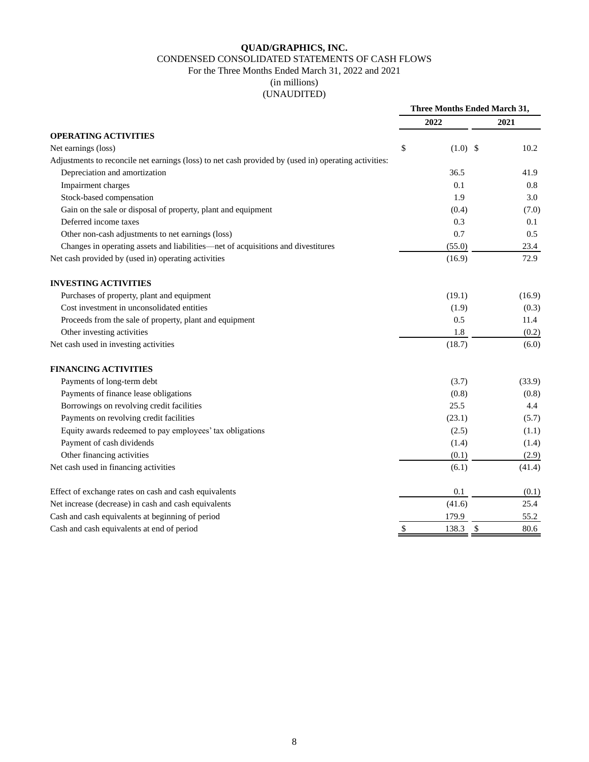#### CONDENSED CONSOLIDATED STATEMENTS OF CASH FLOWS

### For the Three Months Ended March 31, 2022 and 2021

(in millions)

# (UNAUDITED)

|                                                                                                      | <b>Three Months Ended March 31,</b> |             |        |  |
|------------------------------------------------------------------------------------------------------|-------------------------------------|-------------|--------|--|
|                                                                                                      |                                     | 2022        | 2021   |  |
| <b>OPERATING ACTIVITIES</b>                                                                          |                                     |             |        |  |
| Net earnings (loss)                                                                                  | \$                                  | $(1.0)$ \$  | 10.2   |  |
| Adjustments to reconcile net earnings (loss) to net cash provided by (used in) operating activities: |                                     |             |        |  |
| Depreciation and amortization                                                                        |                                     | 36.5        | 41.9   |  |
| Impairment charges                                                                                   |                                     | 0.1         | 0.8    |  |
| Stock-based compensation                                                                             |                                     | 1.9         | 3.0    |  |
| Gain on the sale or disposal of property, plant and equipment                                        |                                     | (0.4)       | (7.0)  |  |
| Deferred income taxes                                                                                |                                     | 0.3         | 0.1    |  |
| Other non-cash adjustments to net earnings (loss)                                                    |                                     | 0.7         | 0.5    |  |
| Changes in operating assets and liabilities—net of acquisitions and divestitures                     |                                     | (55.0)      | 23.4   |  |
| Net cash provided by (used in) operating activities                                                  |                                     | (16.9)      | 72.9   |  |
| <b>INVESTING ACTIVITIES</b>                                                                          |                                     |             |        |  |
| Purchases of property, plant and equipment                                                           |                                     | (19.1)      | (16.9) |  |
| Cost investment in unconsolidated entities                                                           |                                     | (1.9)       | (0.3)  |  |
| Proceeds from the sale of property, plant and equipment                                              |                                     | 0.5         | 11.4   |  |
| Other investing activities                                                                           |                                     | 1.8         | (0.2)  |  |
| Net cash used in investing activities                                                                |                                     | (18.7)      | (6.0)  |  |
| <b>FINANCING ACTIVITIES</b>                                                                          |                                     |             |        |  |
| Payments of long-term debt                                                                           |                                     | (3.7)       | (33.9) |  |
| Payments of finance lease obligations                                                                |                                     | (0.8)       | (0.8)  |  |
| Borrowings on revolving credit facilities                                                            |                                     | 25.5        | 4.4    |  |
| Payments on revolving credit facilities                                                              |                                     | (23.1)      | (5.7)  |  |
| Equity awards redeemed to pay employees' tax obligations                                             |                                     | (2.5)       | (1.1)  |  |
| Payment of cash dividends                                                                            |                                     | (1.4)       | (1.4)  |  |
| Other financing activities                                                                           |                                     | (0.1)       | (2.9)  |  |
| Net cash used in financing activities                                                                |                                     | (6.1)       | (41.4) |  |
| Effect of exchange rates on cash and cash equivalents                                                |                                     | 0.1         | (0.1)  |  |
| Net increase (decrease) in cash and cash equivalents                                                 |                                     | (41.6)      | 25.4   |  |
| Cash and cash equivalents at beginning of period                                                     |                                     | 179.9       | 55.2   |  |
| Cash and cash equivalents at end of period                                                           | \$                                  | 138.3<br>\$ | 80.6   |  |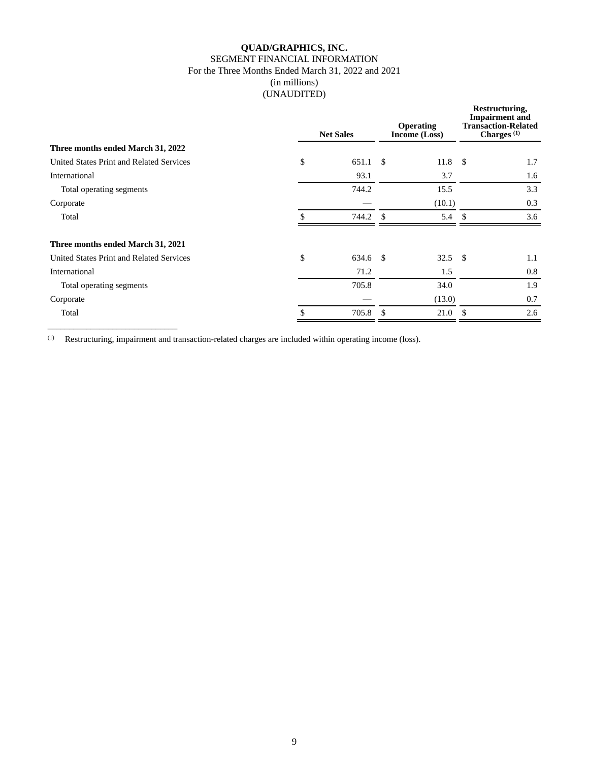#### **QUAD/GRAPHICS, INC.** SEGMENT FINANCIAL INFORMATION For the Three Months Ended March 31, 2022 and 2021 (in millions) (UNAUDITED)

|                                          |               | <b>Net Sales</b> |               |           | Restructuring,<br><b>Impairment</b> and<br><b>Transaction-Related</b><br>Charges <sup>(1)</sup> |     |  |
|------------------------------------------|---------------|------------------|---------------|-----------|-------------------------------------------------------------------------------------------------|-----|--|
| Three months ended March 31, 2022        |               |                  |               |           |                                                                                                 |     |  |
| United States Print and Related Services | \$            | 651.1            | -S            | $11.8$ \$ |                                                                                                 | 1.7 |  |
| International                            |               | 93.1             |               | 3.7       |                                                                                                 | 1.6 |  |
| Total operating segments                 |               | 744.2            |               | 15.5      |                                                                                                 | 3.3 |  |
| Corporate                                |               |                  |               | (10.1)    |                                                                                                 | 0.3 |  |
| Total                                    |               | 744.2            | $\mathcal{S}$ | 5.4       | <sup>\$</sup>                                                                                   | 3.6 |  |
| Three months ended March 31, 2021        |               |                  |               |           |                                                                                                 |     |  |
| United States Print and Related Services | \$            | 634.6 \$         |               | $32.5$ \$ |                                                                                                 | 1.1 |  |
| International                            |               | 71.2             |               | 1.5       |                                                                                                 | 0.8 |  |
| Total operating segments                 |               | 705.8            |               | 34.0      |                                                                                                 | 1.9 |  |
| Corporate                                |               |                  |               | (13.0)    |                                                                                                 | 0.7 |  |
| Total                                    | $\mathcal{S}$ | 705.8            | $\mathcal{S}$ | 21.0      | \$.                                                                                             | 2.6 |  |
|                                          |               |                  |               |           |                                                                                                 |     |  |

(1) Restructuring, impairment and transaction-related charges are included within operating income (loss).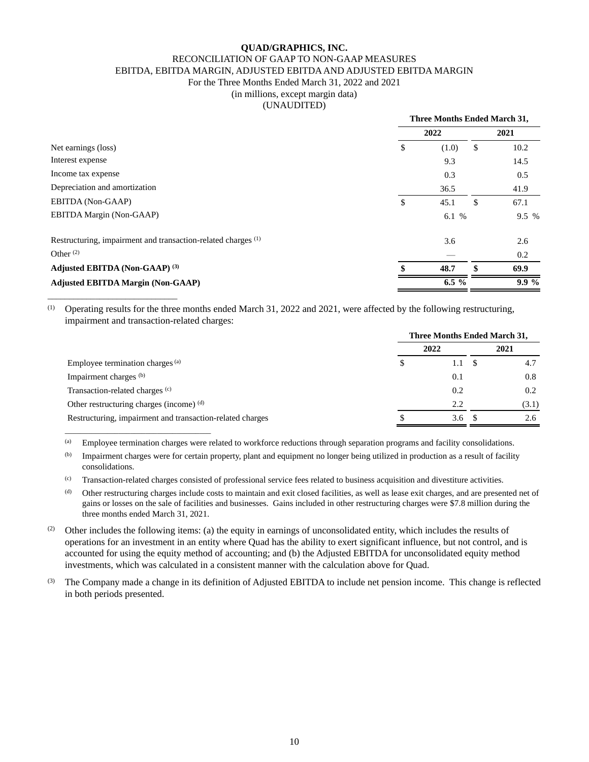#### RECONCILIATION OF GAAP TO NON-GAAP MEASURES

EBITDA, EBITDA MARGIN, ADJUSTED EBITDA AND ADJUSTED EBITDA MARGIN

#### For the Three Months Ended March 31, 2022 and 2021

(in millions, except margin data)

(UNAUDITED)

|                                                                          | Three Months Ended March 31, |    |       |  |  |
|--------------------------------------------------------------------------|------------------------------|----|-------|--|--|
|                                                                          | 2022                         |    | 2021  |  |  |
| Net earnings (loss)                                                      | \$<br>(1.0)                  | S  | 10.2  |  |  |
| Interest expense                                                         | 9.3                          |    | 14.5  |  |  |
| Income tax expense                                                       | 0.3                          |    | 0.5   |  |  |
| Depreciation and amortization                                            | 36.5                         |    | 41.9  |  |  |
| EBITDA (Non-GAAP)                                                        | \$<br>45.1                   | \$ | 67.1  |  |  |
| EBITDA Margin (Non-GAAP)                                                 | 6.1 %                        |    | 9.5 % |  |  |
| Restructuring, impairment and transaction-related charges <sup>(1)</sup> | 3.6                          |    | 2.6   |  |  |
| Other $(2)$                                                              |                              |    | 0.2   |  |  |
| Adjusted EBITDA (Non-GAAP) (3)                                           | 48.7                         | \$ | 69.9  |  |  |
| <b>Adjusted EBITDA Margin (Non-GAAP)</b>                                 | $6.5 \%$                     |    | 9.9%  |  |  |

(1) Operating results for the three months ended March 31, 2022 and 2021, were affected by the following restructuring, impairment and transaction-related charges:

\_\_\_\_\_\_\_\_\_\_\_\_\_\_\_\_\_\_\_\_\_\_\_\_\_\_\_\_\_\_

\_\_\_\_\_\_\_\_\_\_\_\_\_\_\_\_\_\_\_\_\_\_\_\_\_\_\_\_\_\_\_\_\_\_\_\_\_\_

|                                                           | Three Months Ended March 31, |     |  |       |  |  |
|-----------------------------------------------------------|------------------------------|-----|--|-------|--|--|
|                                                           | 2022                         |     |  | 2021  |  |  |
| Employee termination charges (a)                          |                              | 1.1 |  | 4.7   |  |  |
| Impairment charges (b)                                    |                              | 0.1 |  | 0.8   |  |  |
| Transaction-related charges (c)                           |                              | 0.2 |  | 0.2   |  |  |
| Other restructuring charges (income) (d)                  |                              | 2.2 |  | (3.1) |  |  |
| Restructuring, impairment and transaction-related charges |                              | 3.6 |  | 2.6   |  |  |

(a) Employee termination charges were related to workforce reductions through separation programs and facility consolidations.

(b) Impairment charges were for certain property, plant and equipment no longer being utilized in production as a result of facility consolidations.

(c) Transaction-related charges consisted of professional service fees related to business acquisition and divestiture activities.

(d) Other restructuring charges include costs to maintain and exit closed facilities, as well as lease exit charges, and are presented net of gains or losses on the sale of facilities and businesses. Gains included in other restructuring charges were \$7.8 million during the three months ended March 31, 2021.

(2) Other includes the following items: (a) the equity in earnings of unconsolidated entity, which includes the results of operations for an investment in an entity where Quad has the ability to exert significant influence, but not control, and is accounted for using the equity method of accounting; and (b) the Adjusted EBITDA for unconsolidated equity method investments, which was calculated in a consistent manner with the calculation above for Quad.

(3) The Company made a change in its definition of Adjusted EBITDA to include net pension income. This change is reflected in both periods presented.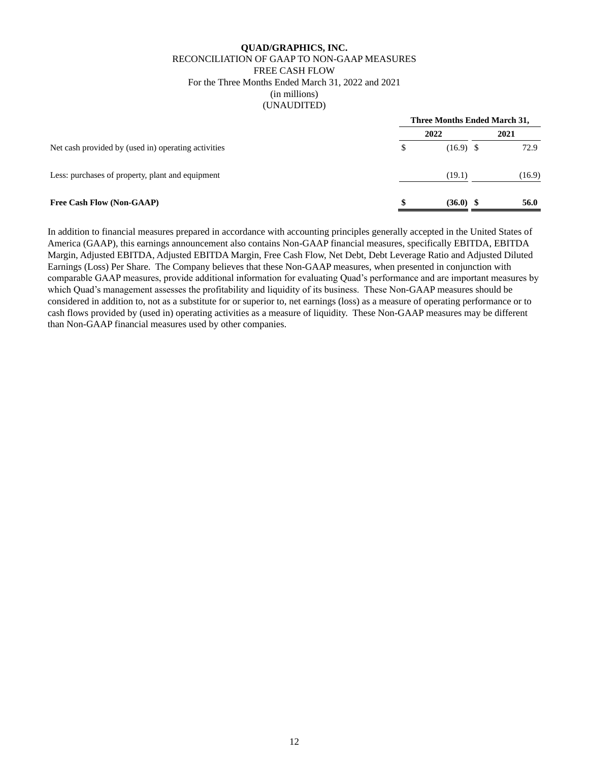#### **QUAD/GRAPHICS, INC.** RECONCILIATION OF GAAP TO NON-GAAP MEASURES FREE CASH FLOW For the Three Months Ended March 31, 2022 and 2021 (in millions) (UNAUDITED)

|                                                     | Three Months Ended March 31, |             |  |        |  |
|-----------------------------------------------------|------------------------------|-------------|--|--------|--|
|                                                     |                              | 2022        |  | 2021   |  |
| Net cash provided by (used in) operating activities | S                            | $(16.9)$ \$ |  | 72.9   |  |
| Less: purchases of property, plant and equipment    |                              | (19.1)      |  | (16.9) |  |
| <b>Free Cash Flow (Non-GAAP)</b>                    |                              | $(36.0)$ \$ |  | 56.0   |  |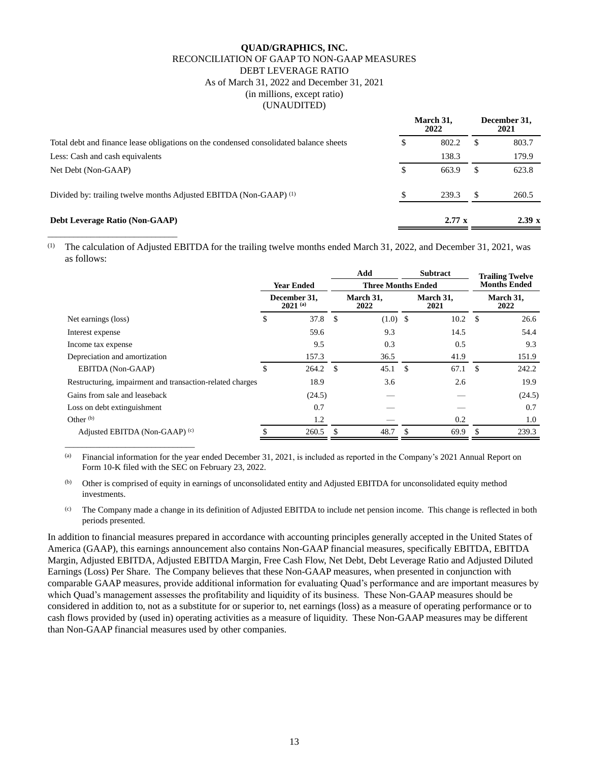### **QUAD/GRAPHICS, INC.** RECONCILIATION OF GAAP TO NON-GAAP MEASURES DEBT LEVERAGE RATIO As of March 31, 2022 and December 31, 2021 (in millions, except ratio) (UNAUDITED)

|                                                                                       |    | March 31,<br>2022 |   | December 31.<br>2021 |  |
|---------------------------------------------------------------------------------------|----|-------------------|---|----------------------|--|
| Total debt and finance lease obligations on the condensed consolidated balance sheets |    | 802.2<br>S        |   | 803.7                |  |
| Less: Cash and cash equivalents                                                       |    | 138.3             |   | 179.9                |  |
| Net Debt (Non-GAAP)                                                                   | \$ | 663.9             | S | 623.8                |  |
| Divided by: trailing twelve months Adjusted EBITDA (Non-GAAP) <sup>(1)</sup>          | \$ | 239.3             |   | 260.5                |  |
| <b>Debt Leverage Ratio (Non-GAAP)</b>                                                 |    | $2.77 \times$     |   | 2.39 x               |  |

(1) The calculation of Adjusted EBITDA for the trailing twelve months ended March 31, 2022, and December 31, 2021, was as follows:

\_\_\_\_\_\_\_\_\_\_\_\_\_\_\_\_\_\_\_\_\_\_\_\_\_\_\_\_\_\_

\_\_\_\_\_\_\_\_\_\_\_\_\_\_\_\_\_\_\_\_\_\_\_\_\_\_\_\_\_\_

|                                                           |                   |                              |                           | Add               |     | <b>Subtract</b>   |                     | <b>Trailing Twelve</b> |
|-----------------------------------------------------------|-------------------|------------------------------|---------------------------|-------------------|-----|-------------------|---------------------|------------------------|
|                                                           | <b>Year Ended</b> |                              | <b>Three Months Ended</b> |                   |     |                   | <b>Months Ended</b> |                        |
|                                                           |                   | December 31.<br>$2021^{(a)}$ |                           | March 31.<br>2022 |     | March 31.<br>2021 |                     | March 31,<br>2022      |
| Net earnings (loss)                                       | \$                | $37.8$ \$                    |                           | $(1.0)$ \$        |     | 10.2              | \$                  | 26.6                   |
| Interest expense                                          |                   | 59.6                         |                           | 9.3               |     | 14.5              |                     | 54.4                   |
| Income tax expense                                        |                   | 9.5                          |                           | 0.3               |     | 0.5               |                     | 9.3                    |
| Depreciation and amortization                             |                   | 157.3                        |                           | 36.5              |     | 41.9              |                     | 151.9                  |
| EBITDA (Non-GAAP)                                         | \$                | $264.2$ \$                   |                           | 45.1              | -S  | 67.1              | <sup>\$</sup>       | 242.2                  |
| Restructuring, impairment and transaction-related charges |                   | 18.9                         |                           | 3.6               |     | 2.6               |                     | 19.9                   |
| Gains from sale and leaseback                             |                   | (24.5)                       |                           |                   |     |                   |                     | (24.5)                 |
| Loss on debt extinguishment                               |                   | 0.7                          |                           |                   |     |                   |                     | 0.7                    |
| Other $(b)$                                               |                   | 1.2                          |                           |                   |     | 0.2               |                     | 1.0                    |
| Adjusted EBITDA (Non-GAAP) (c)                            |                   | 260.5                        |                           | 48.7              | \$. | 69.9              | \$.                 | 239.3                  |

 $^{(a)}$  Financial information for the year ended December 31, 2021, is included as reported in the Company's 2021 Annual Report on Form 10-K filed with the SEC on February 23, 2022.

(b) Other is comprised of equity in earnings of unconsolidated entity and Adjusted EBITDA for unconsolidated equity method investments.

 $^{(c)}$  The Company made a change in its definition of Adjusted EBITDA to include net pension income. This change is reflected in both periods presented.